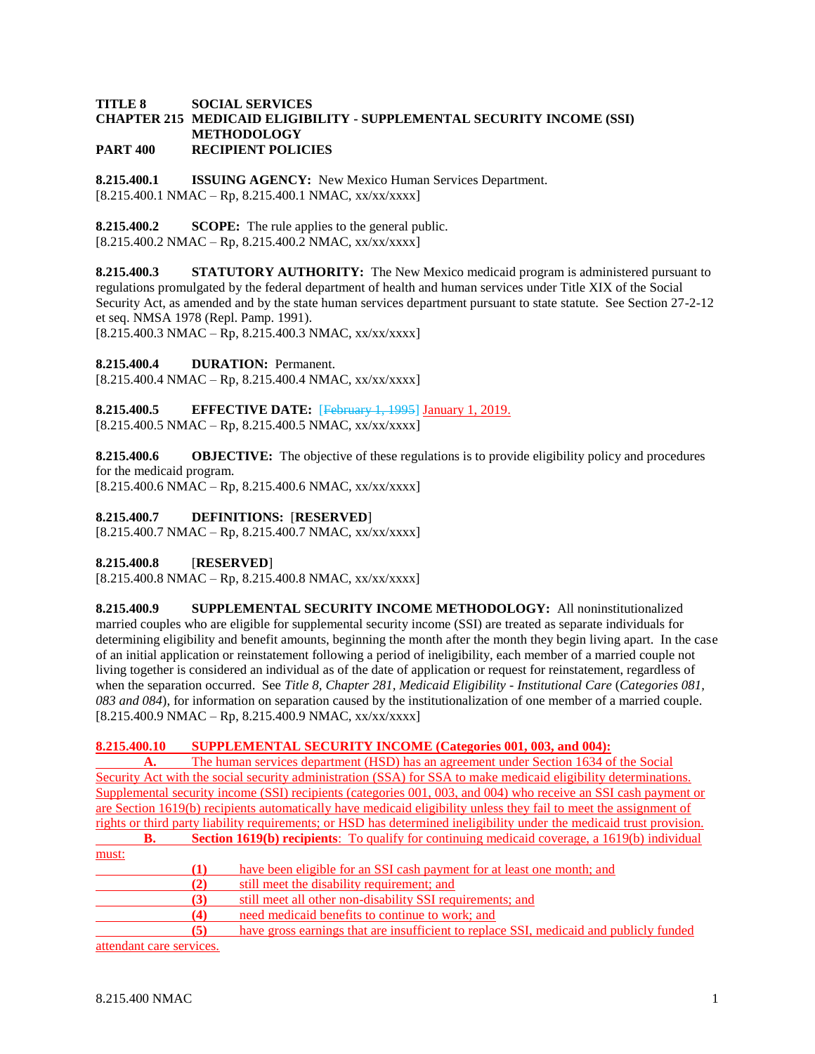#### **TITLE 8 SOCIAL SERVICES CHAPTER 215 MEDICAID ELIGIBILITY - SUPPLEMENTAL SECURITY INCOME (SSI) METHODOLOGY PART 400 RECIPIENT POLICIES**

**8.215.400.1 ISSUING AGENCY:** New Mexico Human Services Department.  $[8.215.400.1 \text{ NMAC} - \text{Rp}, 8.215.400.1 \text{ NMAC}, xx/xxxxx]$ 

**8.215.400.2 SCOPE:** The rule applies to the general public.  $[8.215.400.2 NMAC - Rp, 8.215.400.2 NMAC, xx/xx/xxx]$ 

**8.215.400.3 STATUTORY AUTHORITY:** The New Mexico medicaid program is administered pursuant to regulations promulgated by the federal department of health and human services under Title XIX of the Social Security Act, as amended and by the state human services department pursuant to state statute. See Section 27-2-12 et seq. NMSA 1978 (Repl. Pamp. 1991).  $[8.215.400.3 \text{ NMAC} - \text{Rp}, 8.215.400.3 \text{ NMAC}, xx/xxxxx]$ 

**8.215.400.4 DURATION:** Permanent.

 $[8.215.400.4 \text{ NMAC} - \text{Rp}, 8.215.400.4 \text{ NMAC}, xx/xx/xxx]$ 

**8.215.400.5 EFFECTIVE DATE:** [February 1, 1995] January 1, 2019.  $[8.215.400.5 NMAC - Rp, 8.215.400.5 NMAC, xx/xx/xxx]$ 

**8.215.400.6 OBJECTIVE:** The objective of these regulations is to provide eligibility policy and procedures for the medicaid program.

 $[8.215.400.6 \text{ NMAC} - \text{Rp}, 8.215.400.6 \text{ NMAC}, xx/xxxxx]$ 

## **8.215.400.7 DEFINITIONS:** [**RESERVED**]

[8.215.400.7 NMAC – Rp, 8.215.400.7 NMAC, xx/xx/xxxx]

## **8.215.400.8** [**RESERVED**]

 $[8.215.400.8 \text{ NMAC} - \text{Rp}, 8.215.400.8 \text{ NMAC}, xx/xx/xxx]$ 

**8.215.400.9 SUPPLEMENTAL SECURITY INCOME METHODOLOGY:** All noninstitutionalized married couples who are eligible for supplemental security income (SSI) are treated as separate individuals for determining eligibility and benefit amounts, beginning the month after the month they begin living apart. In the case of an initial application or reinstatement following a period of ineligibility, each member of a married couple not living together is considered an individual as of the date of application or request for reinstatement, regardless of when the separation occurred. See *Title 8, Chapter 281, Medicaid Eligibility - Institutional Care* (*Categories 081, 083 and 084*), for information on separation caused by the institutionalization of one member of a married couple.  $[8.215.400.9 \text{ NMAC} - \text{Rp}, 8.215.400.9 \text{ NMAC}, xx/xxxxx]$ 

## **8.215.400.10 SUPPLEMENTAL SECURITY INCOME (Categories 001, 003, and 004):**

**A.** The human services department (HSD) has an agreement under Section 1634 of the Social Security Act with the social security administration (SSA) for SSA to make medicaid eligibility determinations. Supplemental security income (SSI) recipients (categories 001, 003, and 004) who receive an SSI cash payment or are Section 1619(b) recipients automatically have medicaid eligibility unless they fail to meet the assignment of rights or third party liability requirements; or HSD has determined ineligibility under the medicaid trust provision.

|       | B. |          | <b>Section 1619(b) recipients:</b> To qualify for continuing medical coverage, a 1619(b) individual |
|-------|----|----------|-----------------------------------------------------------------------------------------------------|
| must: |    |          |                                                                                                     |
|       |    | $\bf(1)$ | have been eligible for an SSI cash payment for at least one month; and                              |
|       |    | (2)      | still meet the disability requirement; and                                                          |
|       |    | (3)      | still meet all other non-disability SSI requirements; and                                           |
|       |    | (4)      | need medicaid benefits to continue to work; and                                                     |
|       |    | (5)      | have gross earnings that are insufficient to replace SSI, medical and publicly funded               |
|       |    |          |                                                                                                     |

attendant care services.